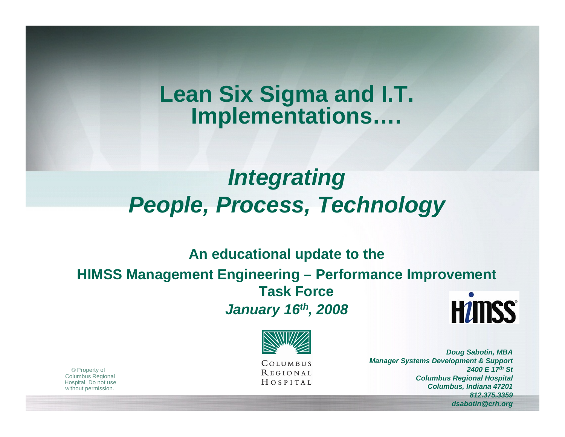# **Lean Six Sigma and I.T. Implementations….**

# *Integrating People, Process, Technology*

#### **An educational update to the**

#### **HIMSS Management Engineering – Performance Improvement Task Force HUMSS®** *January 16th, 2008*



COLUMBUS **REGIONAL** HOSPITAL

*Doug Sabotin, MBA Manager Systems Development & Support 2400 E 17th StColumbus Regional Hospital Columbus, Indiana 47201 812.375.3359dsabotin@crh.org*

© Property of Columbus Regional Hospital. Do not use without permission.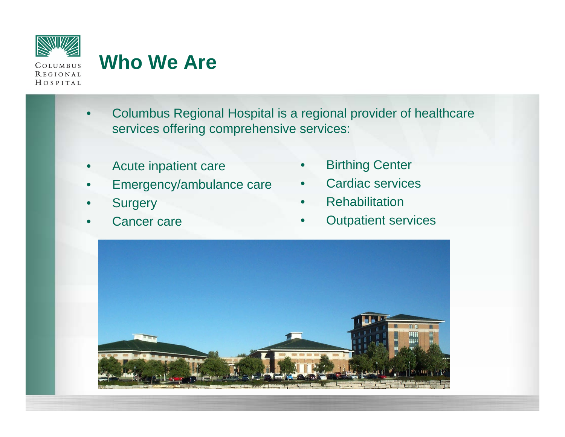

# **Who We Are**

- Columbus Regional Hospital is a regional provider of healthcare services offering comprehensive services:
- Acute inpatient care
- Emergency/ambulance care
- **Surgery**
- Cancer care
- **Birthing Center**
- Cardiac services
- **Rehabilitation**
- **Outpatient services**

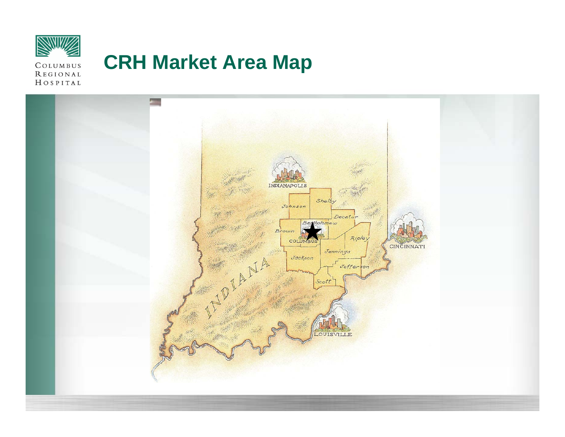

REGIONAL

# **CRH Market Area Map**

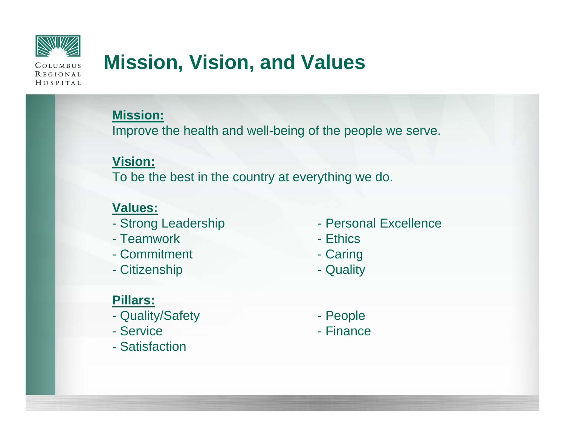

# **Mission, Vision, and Values**

**Mission:**

Improve the health and well-being of the people we serve.

#### **Vision:**

To be the best in the country at everything we do.

#### **Values:**

- 
- Teamwork Ethic
- Commitment Caring
- Citizenship **Citizenship** Quality
- **Pillars:**
- Quality/Safety  **People**
- 
- Satisfaction
- Strong Leadership Personal Excellence
	- Ethics
	-
	-
	-
- Service  **Finance**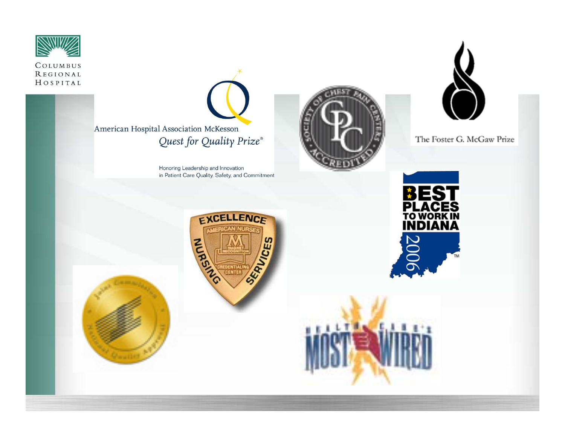



Honoring Leadership and Innovation in Patient Care Quality, Safety, and Commitment





The Foster G. McGaw Prize







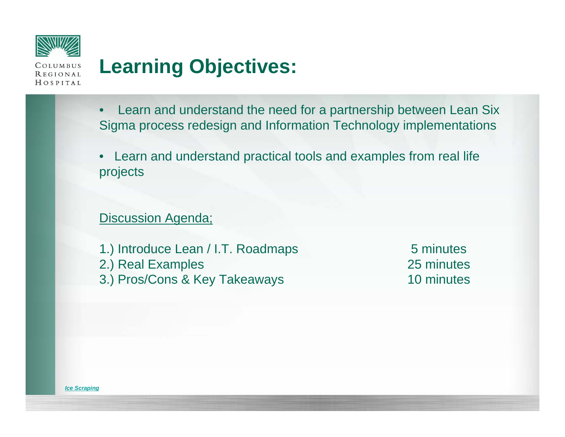

# **Learning Objectives:**

- Learn and understand the need for a partnership between Lean Six Sigma process redesign and Information Technology implementations
- Learn and understand practical tools and examples from real life projects

#### **Discussion Agenda;**

1.) Introduce Lean / I.T. Roadmaps 5 minutes 2.) Real Examples 25 minutes 3.) Pros/Cons & Key Takeaways 10 minutes

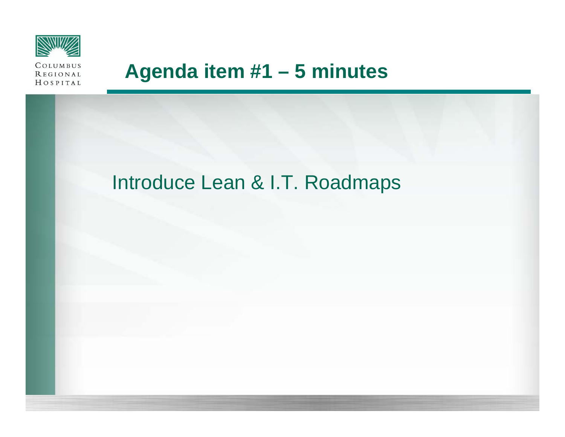

# **Agenda item #1 – 5 minutes**

## Introduce Lean & I.T. Roadmaps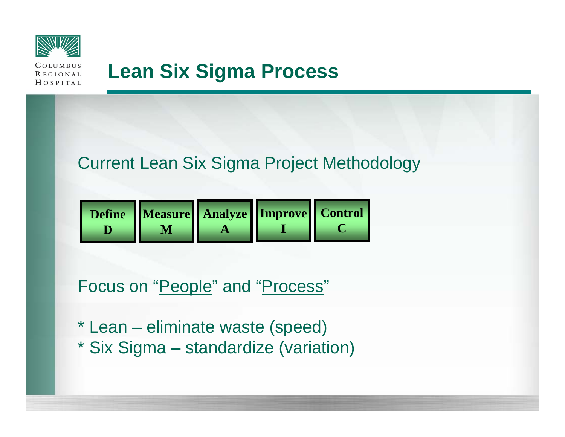



## **Lean Six Sigma Process**

### Current Lean Six Sigma Project Methodology



Focus on "<u>People</u>" and "<u>Process</u>"

- \* Lean eliminate waste (speed)
- \* Six Sigma standardize (variation)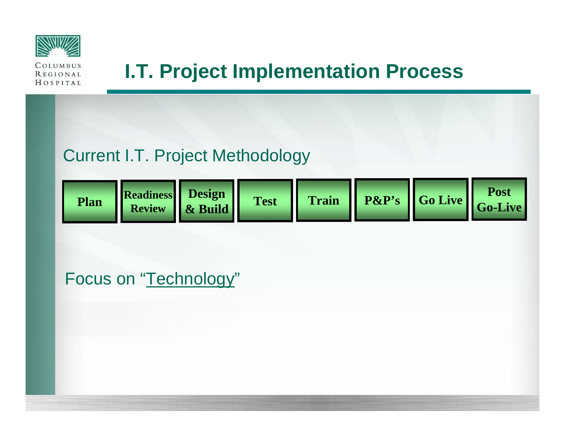

# **I.T. Project Implementation Process**

## Current I.T. Project Methodology

| Plan | Readiness Besign |  |  |  |  | est   Train   P&P's   Go Live   Go-Live |  |
|------|------------------|--|--|--|--|-----------------------------------------|--|
|------|------------------|--|--|--|--|-----------------------------------------|--|

Focus on "<u>Technology</u>"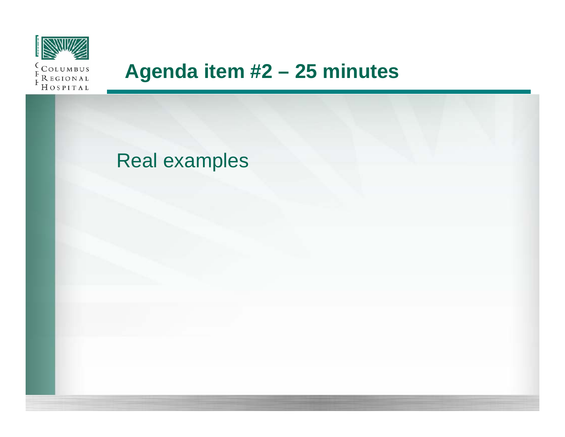

## **Agenda item #2 – 25 minutes**

## Real examples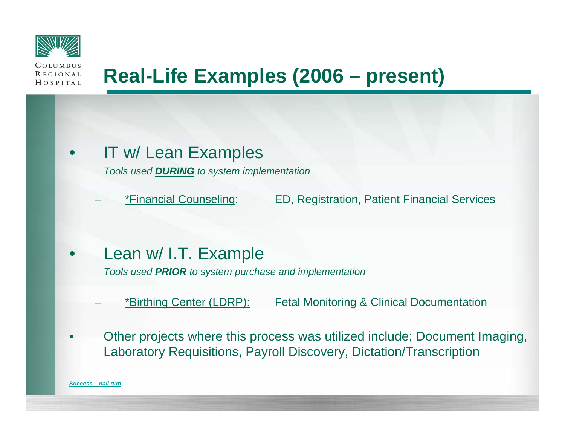



# **Real-Life Examples (2006 – present)**

• IT w/ Lean Examples

*Tools used DURING to system implementation*

– \*Financial Counseling: ED, Registration, Patient Financial Services

• Lean w/ I.T. Example

*Tools used PRIOR to system purchase and implementation*

- \*Birthing Center (LDRP): Fetal Monitoring & Clinical Documentation
- Other projects where this process was utilized include; Document Imaging, Laboratory Requisitions, Payroll Discovery, Dictation/Transcription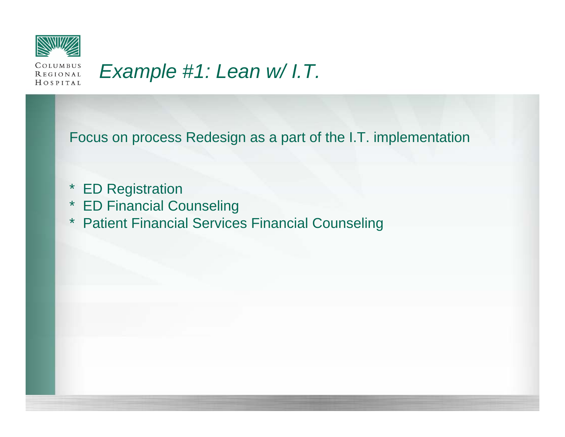

#### COLUMBUS *Example #1: Lean w/ I.T.***REGIONAL** HOSPITAL

Focus on process Redesign as a part of the I.T. implementation

- \* ED Registration
- \* ED Financial Counseling
- \* Patient Financial Services Financial Counseling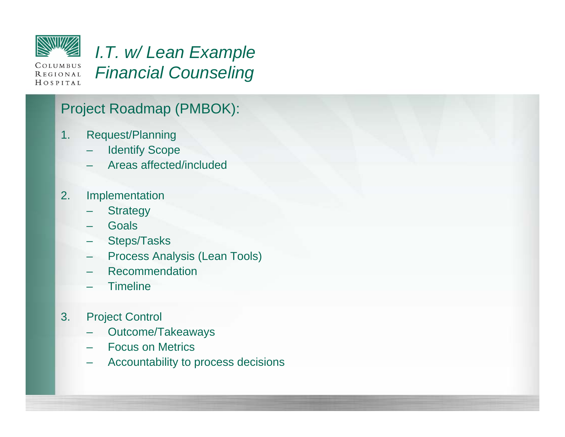

## *I.T. w/ Lean Example Financial Counseling*

#### Project Roadmap (PMBOK):

- 1. Request/Planning
	- **Identify Scope**
	- Areas affected/included
- 2. Implementation
	- **Strategy**
	- **Goals**
	- Steps/Tasks
	- Process Analysis (Lean Tools)
	- Recommendation
	- **Timeline**
- 3. Project Control
	- Outcome/Takeaways
	- Focus on Metrics
	- Accountability to process decisions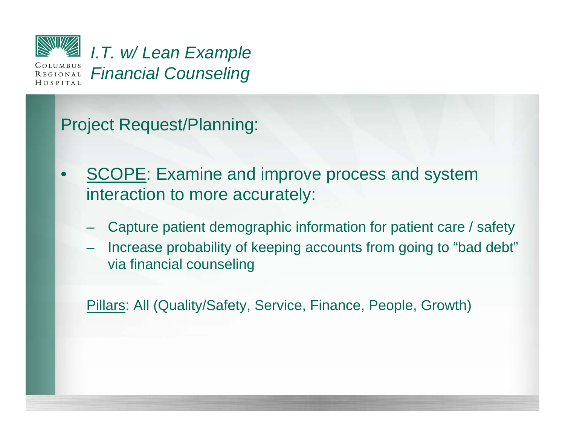

REGIONAL  $HOSPITAL$  *I.T. w/ Lean Example Financial Counseling*

Project Request/Planning:

- **SCOPE: Examine and improve process and system** interaction to more accurately:
	- Capture patient demographic information for patient care / safety
	- Increase probability of keeping accounts from going to "bad debt" via financial counseling

Pillars: All (Quality/Safety, Service, Finance, People, Growth)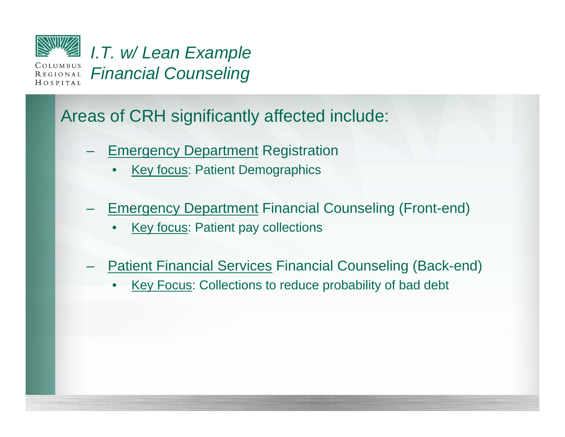

### Areas of CRH significantly affected include:

- **Emergency Department Registration** 
	- **Key focus: Patient Demographics**
- **Emergency Department Financial Counseling (Front-end)** 
	- **Key focus: Patient pay collections**
- **Patient Financial Services Financial Counseling (Back-end)** 
	- Key Focus: Collections to reduce probability of bad debt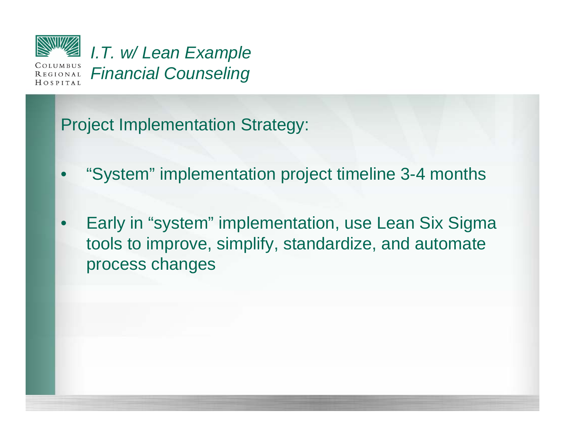

 $HOSPITAL$ 

*I.T. w/ Lean Example Financial Counseling*

Project Implementation Strategy:

- "System" implementation project timeline 3-4 months
- Early in "system" implementation, use Lean Six Sigma tools to improve, simplify, standardize, and automate process changes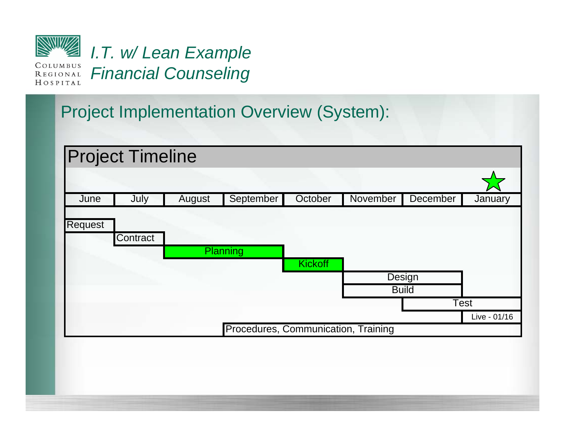

# *I.T. w/ Lean Example Financial Counseling*

## Project Implementation Overview (System):

|         | <b>Project Timeline</b> |        |                                     |                |          |                        |              |
|---------|-------------------------|--------|-------------------------------------|----------------|----------|------------------------|--------------|
|         |                         |        |                                     |                |          |                        |              |
| June    | July                    | August | September                           | October        | November | December               | January      |
| Request | Contract                |        | <b>Planning</b>                     | <b>Kickoff</b> |          | Design<br><b>Build</b> |              |
|         |                         |        |                                     |                |          |                        | <b>Test</b>  |
|         |                         |        |                                     |                |          |                        | Live - 01/16 |
|         |                         |        | Procedures, Communication, Training |                |          |                        |              |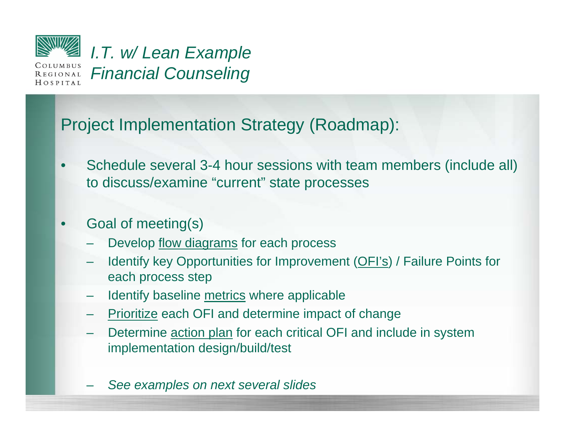

*I.T. w/ Lean Example Financial Counseling*

## Project Implementation Strategy (Roadmap):

• Schedule several 3-4 hour sessions with team members (include all) to discuss/examine "current" state processes

#### • Goal of meeting(s)

- Develop flow diagrams for each process
- Identify key Opportunities for Improvement (OFI's) / Failure Points for each process step
- Identify baseline metrics where applicable
- Prioritize each OFI and determine impact of change
- Determine action plan for each critical OFI and include in system implementation design/build/test
- *See examples on next several slides*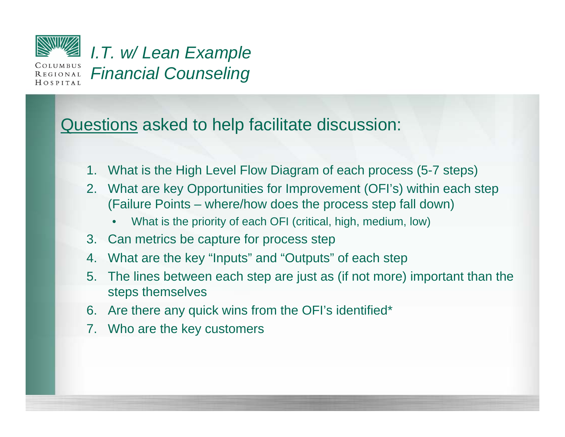

**REGIONAL**  $H$   $O$   $S$   $P$   $I$   $T$   $A$   $L$  *I.T. w/ Lean Example Financial Counseling*

#### Questions asked to help facilitate discussion:

- 1. What is the High Level Flow Diagram of each process (5-7 steps)
- 2. What are key Opportunities for Improvement (OFI's) within each step (Failure Points – where/how does the process step fall down)
	- What is the priority of each OFI (critical, high, medium, low)
- 3. Can metrics be capture for process step
- 4. What are the key "Inputs" and "Outputs" of each step
- 5. The lines between each step are just as (if not more) important than the steps themselves
- 6. Are there any quick wins from the OFI's identified\*
- 7. Who are the key customers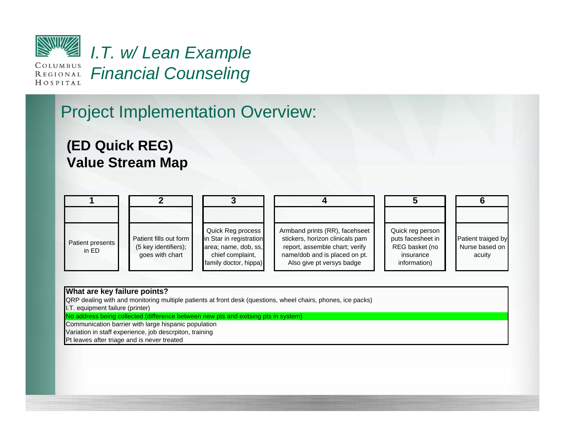

*I.T. w/ Lean Example Financial Counseling*

### Project Implementation Overview:

#### **(ED Quick REG) Value Stream Map**

| Patient presents<br>in ED | Patient fills out form<br>(5 key identifiers);<br>goes with chart | Quick Reg process<br>in Star in registration<br>area; name, dob, ss,<br>chief complaint,<br>family doctor, hippa) | Armband prints (RR), facehseet<br>stickers, horizon clinicals pam<br>report, assemble chart; verify<br>name/dob and is placed on pt.<br>Also give pt versys badge | Quick reg person<br>puts facesheet in<br>REG basket (no<br>insurance<br>information) | Patient traiged by<br>Nurse based on<br>acuity |
|---------------------------|-------------------------------------------------------------------|-------------------------------------------------------------------------------------------------------------------|-------------------------------------------------------------------------------------------------------------------------------------------------------------------|--------------------------------------------------------------------------------------|------------------------------------------------|

#### **What are key failure points?**

QRP dealing with and monitoring multiple patients at front desk (questions, wheel chairs, phones, ice packs)

I.T. equipment failure (printer)

No address being collected (difference between new pts and exitsing pts in system)

Communication barrier with large hispanic population

Variation in staff experience, job descrpiton, training

Pt leaves after triage and is never treated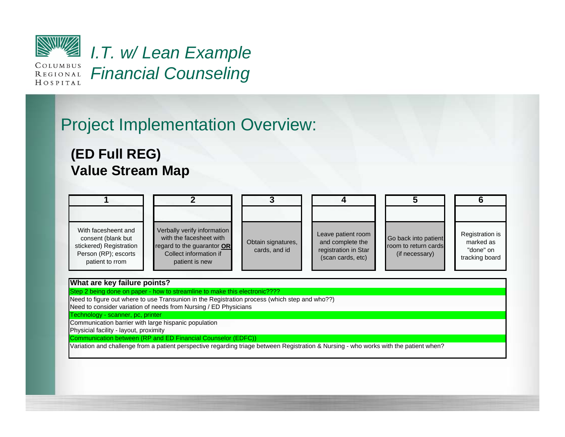

*I.T. w/ Lean Example Financial Counseling*

## Project Implementation Overview:

#### **(ED Full REG) Value Stream Map**

| With facesheent and<br>consent (blank but<br>stickered) Registration<br>Person (RP); escorts<br>patient to rrom | Verbally verify information<br>with the facesheet with<br>regard to the guarantor OR<br>Collect information if<br>patient is new | Obtain signatures,<br>cards, and id | Leave patient room<br>and complete the<br>registration in Star<br>(scan cards, etc) | Go back into patient<br>room to return cards<br>(if necessary) | Registration is<br>marked as<br>"done" on<br>tracking board |
|-----------------------------------------------------------------------------------------------------------------|----------------------------------------------------------------------------------------------------------------------------------|-------------------------------------|-------------------------------------------------------------------------------------|----------------------------------------------------------------|-------------------------------------------------------------|

#### **What are key failure points?**

Step 2 being done on paper - how to streamline to make this electronic????

Need to figure out where to use Transunion in the Registration process (which step and who??)

Need to consider variation of needs from Nursing / ED Physicians

Technology - scanner, pc, printer

Communication barrier with large hispanic population

Physicial facility - layout, proximity

Communication between (RP and ED Financial Counselor (EDFC))

Variation and challenge from a patient perspective regarding triage between Registration & Nursing - who works with the patient when?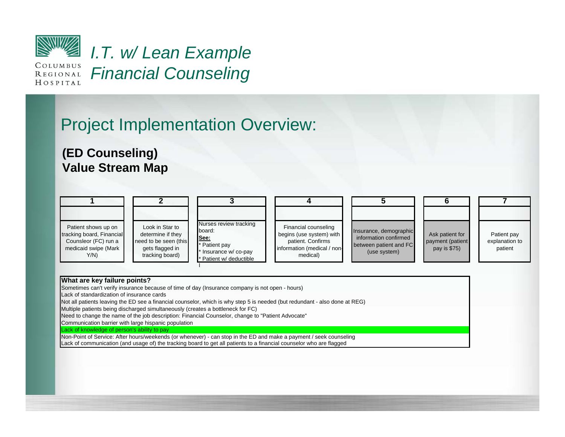

*I.T. w/ Lean Example*  COLUMBUS *Financial Counseling* **REGIONAL** HOSPITAL

### Project Implementation Overview:

#### **(ED Counseling) Value Stream Map**

| Patient shows up on<br>tracking board, Financial<br>Counsleor (FC) run a<br>medicaid swipe (Mark<br>$Y/N$ ) | Look in Star to<br>determine if they<br>need to be seen (this<br>gets flagged in<br>tracking board) | Nurses review tracking<br>board:<br>See:<br>Patient pay<br>Insurance w/co-pay<br>Patient w/ deductible | Financial counseling<br>begins (use system) with<br>patient. Confirms<br>information (medical / non-<br>medical) | Insurance, demographic<br>information confirmed<br>between patient and FC<br>(use system) | Ask patient for<br>payment (patient<br>pay is \$75) | Patient pay<br>explanation to<br>patient |
|-------------------------------------------------------------------------------------------------------------|-----------------------------------------------------------------------------------------------------|--------------------------------------------------------------------------------------------------------|------------------------------------------------------------------------------------------------------------------|-------------------------------------------------------------------------------------------|-----------------------------------------------------|------------------------------------------|

#### **What are key failure points?**

Sometimes can't verify insurance because of time of day (Insurance company is not open - hours)

Lack of standardization of insurance cards

Not all patients leaving the ED see a financial counselor, which is why step 5 is needed (but redundant - also done at REG)

Multiple patients being discharged simultaneously (creates a bottleneck for FC)

Need to change the name of the job description: Financial Counselor, change to "Patient Advocate"

Communication barrier with large hispanic population

Lack of knowledge of person's ability to pay

Lack of communication (and usage of) the tracking board to get all patients to a financial counselor who are flagged Non-Point of Service: After hours/weekends (or whenever) - can stop in the ED and make a payment / seek counseling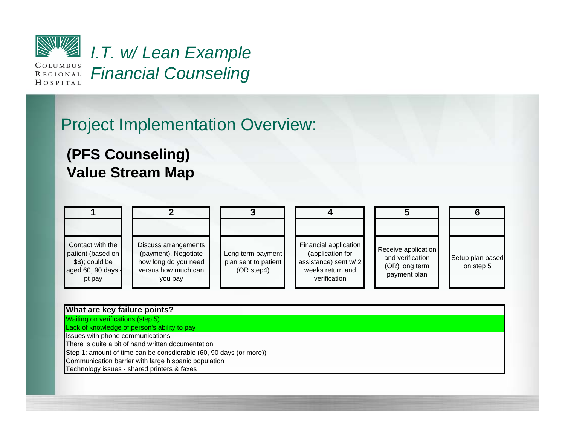

REGIONAL HOSPITAL

*I.T. w/ Lean Example Financial Counseling*

## Project Implementation Overview:

#### **(PFS Counseling) Value Stream Map**

| Contact with the<br>patient (based on<br>$$$ , $$$ , $\circ$ $\circ$ $\circ$ $\circ$ $\circ$ $\circ$ $\circ$<br>aged 60, 90 days -<br>pt pay | Discuss arrangements<br>(payment). Negotiate<br>how long do you need<br>versus how much can<br>you pay | Long term payment<br>plan sent to patient<br>(OR step4) | Financial application<br>(application for<br>assistance) sent w/2<br>weeks return and<br>verification | Receive application<br>and verification<br>(OR) long term<br>payment plan | Setup plan based<br>on step 5 |
|----------------------------------------------------------------------------------------------------------------------------------------------|--------------------------------------------------------------------------------------------------------|---------------------------------------------------------|-------------------------------------------------------------------------------------------------------|---------------------------------------------------------------------------|-------------------------------|

#### **What are key failure points?**

Waiting on verifications (step 5) Lack of knowledge of person's ability to pay

Issues with phone communications

There is quite a bit of hand written documentation

Step 1: amount of time can be consdierable (60, 90 days (or more))

Communication barrier with large hispanic population

Technology issues - shared printers & faxes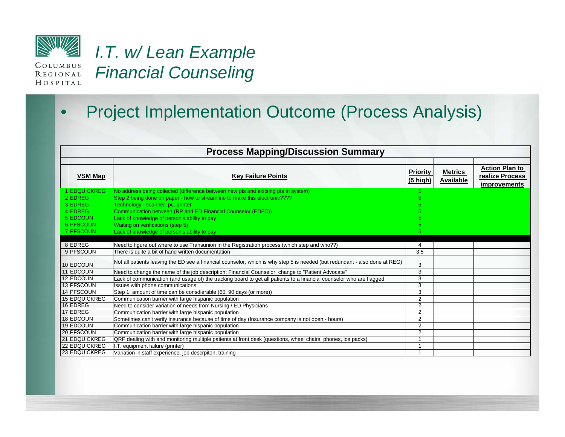

*I.T. w/ Lean Example Financial Counseling*

### • Project Implementation Outcome (Process Analysis)

| <b>Process Mapping/Discussion Summary</b> |                                                                                                                             |                             |                                    |                                                                 |  |  |  |  |  |
|-------------------------------------------|-----------------------------------------------------------------------------------------------------------------------------|-----------------------------|------------------------------------|-----------------------------------------------------------------|--|--|--|--|--|
| VSM Map                                   | <b>Key Failure Points</b>                                                                                                   | <b>Priority</b><br>(5 high) | <b>Metrics</b><br><b>Available</b> | <b>Action Plan to</b><br>realize Process<br><i>improvements</i> |  |  |  |  |  |
| <b>1 EDQUICKREG</b>                       | No address being collected (difference between new pts and exitsing pts in system)                                          |                             |                                    |                                                                 |  |  |  |  |  |
| 2 EDREG                                   | Step 2 being done on paper - how to streamline to make this electronic????                                                  |                             |                                    |                                                                 |  |  |  |  |  |
| 3 EDREG                                   | Technology - scanner, pc, printer                                                                                           |                             |                                    |                                                                 |  |  |  |  |  |
| 4 EDREG                                   | Communication between (RP and ED Financial Counselor (EDFC))                                                                |                             |                                    |                                                                 |  |  |  |  |  |
| 5 EDCOUN                                  | Lack of knowledge of person's ability to pay                                                                                |                             |                                    |                                                                 |  |  |  |  |  |
| 6 PFSCOUN                                 | Waiting on verifications (step 5)                                                                                           |                             |                                    |                                                                 |  |  |  |  |  |
| 7 PFSCOUN                                 | Lack of knowledge of person's ability to pay                                                                                |                             |                                    |                                                                 |  |  |  |  |  |
|                                           |                                                                                                                             |                             |                                    |                                                                 |  |  |  |  |  |
| 8EDREG                                    | Need to figure out where to use Transunion in the Registration process (which step and who??)                               | 4                           |                                    |                                                                 |  |  |  |  |  |
| 9 PFSCOUN                                 | There is quite a bit of hand written documentation                                                                          | 3.5                         |                                    |                                                                 |  |  |  |  |  |
| 10 EDCOUN                                 | Not all patients leaving the ED see a financial counselor, which is why step 5 is needed (but redundant - also done at REG) | 3                           |                                    |                                                                 |  |  |  |  |  |
| 11 EDCOUN                                 | Need to change the name of the job description: Financial Counselor, change to "Patient Advocate"                           | 3                           |                                    |                                                                 |  |  |  |  |  |
| 12 EDCOUN                                 | Lack of communication (and usage of) the tracking board to get all patients to a financial counselor who are flagged        | 3                           |                                    |                                                                 |  |  |  |  |  |
| 13 PFSCOUN                                | Issues with phone communications                                                                                            | 3                           |                                    |                                                                 |  |  |  |  |  |
| 14 PFSCOUN                                | Step 1: amount of time can be consdierable (60, 90 days (or more))                                                          | 3                           |                                    |                                                                 |  |  |  |  |  |
| 15 EDQUICKREG                             | Communication barrier with large hispanic population                                                                        | $\overline{2}$              |                                    |                                                                 |  |  |  |  |  |
| 16 EDREG                                  | Need to consider variation of needs from Nursing / ED Physicians                                                            | 2                           |                                    |                                                                 |  |  |  |  |  |
| 17 EDREG                                  | Communication barrier with large hispanic population                                                                        | 2                           |                                    |                                                                 |  |  |  |  |  |
| 18 EDCOUN                                 | Sometimes can't verify insurance because of time of day (Insurance company is not open - hours)                             | 2                           |                                    |                                                                 |  |  |  |  |  |
| 19 EDCOUN                                 | Communication barrier with large hispanic population                                                                        | 2                           |                                    |                                                                 |  |  |  |  |  |
| 20 PFSCOUN                                | Communication barrier with large hispanic population                                                                        | $\overline{2}$              |                                    |                                                                 |  |  |  |  |  |
| 21 EDQUICKREG                             | QRP dealing with and monitoring multiple patients at front desk (questions, wheel chairs, phones, ice packs)                | $\overline{ }$              |                                    |                                                                 |  |  |  |  |  |
| 22 EDQUICKREG                             | I.T. equipment failure (printer)                                                                                            |                             |                                    |                                                                 |  |  |  |  |  |
| 23 EDQUICKREG                             | Variation in staff experience, job descrpiton, training                                                                     |                             |                                    |                                                                 |  |  |  |  |  |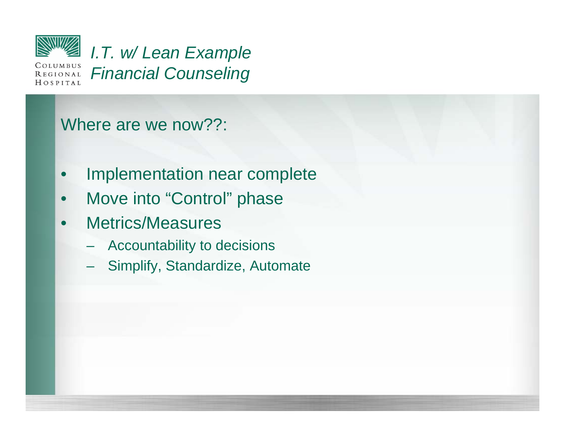

*I.T. w/ Lean Example Financial Counseling*

### Where are we now??:

- Implementation near complete
- Move into "Control" phase
- Metrics/Measures
	- Accountability to decisions
	- Simplify, Standardize, Automate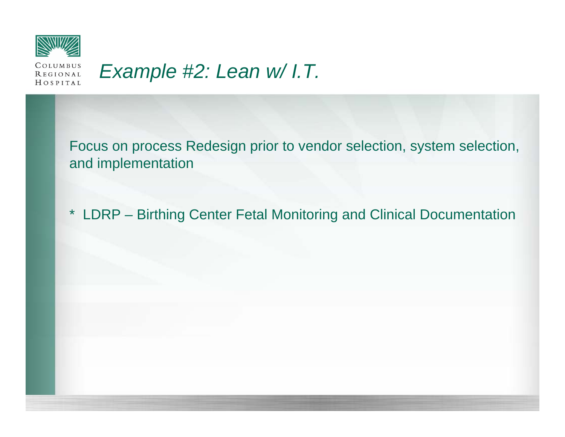

#### COLUMBUS *Example #2: Lean w/ I.T.* **REGIONAL** HOSPITAL

Focus on process Redesign prior to vendor selection, system selection, and implementation

\* LDRP – Birthing Center Fetal Monitoring and Clinical Documentation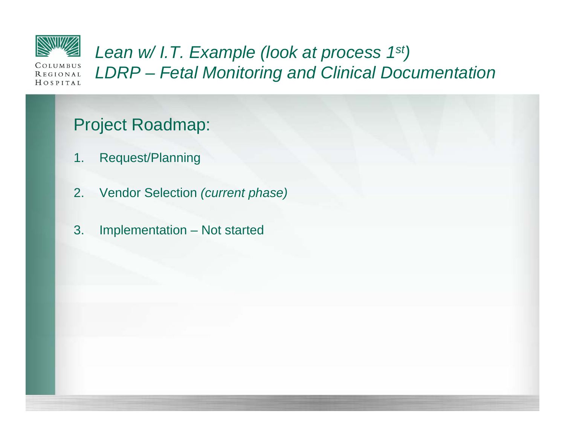

*Lean w/ I.T. Example (look at process 1st) LDRP – Fetal Monitoring and Clinical Documentation*

## Project Roadmap:

- 1. Request/Planning
- 2. Vendor Selection *(current phase)*
- 3. Implementation Not started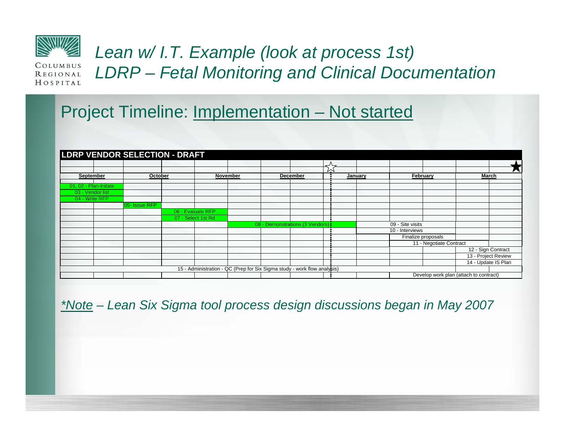

## *Lean w/ I.T. Example (look at process 1st) LDRP – Fetal Monitoring and Clinical Documentation*

### Project Timeline: **Implementation – Not started**

|                       |                                         | <b>LDRP VENDOR SELECTION - DRAFT</b> |                                      |  |  |                                                                          |          |              |                  |                                        |                     |  |
|-----------------------|-----------------------------------------|--------------------------------------|--------------------------------------|--|--|--------------------------------------------------------------------------|----------|--------------|------------------|----------------------------------------|---------------------|--|
|                       |                                         |                                      |                                      |  |  | ٮ                                                                        |          |              |                  |                                        |                     |  |
|                       | September<br>October<br><b>November</b> |                                      | $\sim$<br><b>December</b><br>January |  |  |                                                                          | February | <b>March</b> |                  |                                        |                     |  |
| 01, 02 - Plan-Initate |                                         |                                      |                                      |  |  |                                                                          |          |              |                  |                                        |                     |  |
| 03 - Vendor list      |                                         |                                      |                                      |  |  |                                                                          |          |              |                  |                                        |                     |  |
| 04 - Write RFP        |                                         |                                      |                                      |  |  |                                                                          |          |              |                  |                                        |                     |  |
|                       |                                         | 05- Issue RFP                        |                                      |  |  |                                                                          |          |              |                  |                                        |                     |  |
|                       |                                         |                                      | 06 - Evaluate RFP                    |  |  |                                                                          |          |              |                  |                                        |                     |  |
|                       |                                         |                                      | 07 - Select 1st Rd                   |  |  |                                                                          |          |              |                  |                                        |                     |  |
|                       |                                         |                                      |                                      |  |  | 08 - Demonstrations (3 Vendors):                                         |          |              | 09 - Site visits |                                        |                     |  |
|                       |                                         |                                      |                                      |  |  |                                                                          |          |              | 10 - Interviews  |                                        |                     |  |
|                       |                                         |                                      |                                      |  |  |                                                                          |          |              |                  | Finalize proposals                     |                     |  |
|                       |                                         |                                      |                                      |  |  |                                                                          |          |              |                  | 11 - Negotiate Contract                |                     |  |
|                       |                                         |                                      |                                      |  |  |                                                                          |          |              |                  |                                        | 12 - Sign Contract  |  |
|                       |                                         |                                      |                                      |  |  |                                                                          |          |              |                  |                                        | 13 - Project Review |  |
|                       |                                         |                                      |                                      |  |  |                                                                          |          |              |                  |                                        | 14 - Update IS Plan |  |
|                       |                                         |                                      |                                      |  |  | 15 - Administration - QC (Prep for Six Sigma study - work flow analysis) |          |              |                  |                                        |                     |  |
|                       |                                         |                                      |                                      |  |  |                                                                          |          |              |                  | Develop work plan (attach to contract) |                     |  |

*\*Note – Lean Six Sigma tool process design discussions began in May 2007*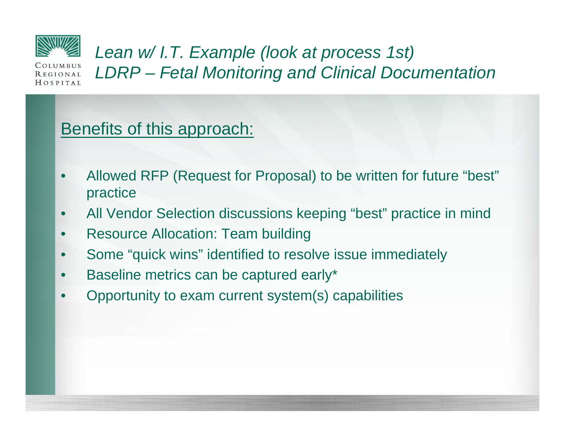

*Lean w/ I.T. Example (look at process 1st) LDRP – Fetal Monitoring and Clinical Documentation*

## Benefits of this approach:

- Allowed RFP (Request for Proposal) to be written for future "best" practice
- All Vendor Selection discussions keeping "best" practice in mind
- Resource Allocation: Team building
- Some "quick wins" identified to resolve issue immediately
- Baseline metrics can be captured early\*
- Opportunity to exam current system(s) capabilities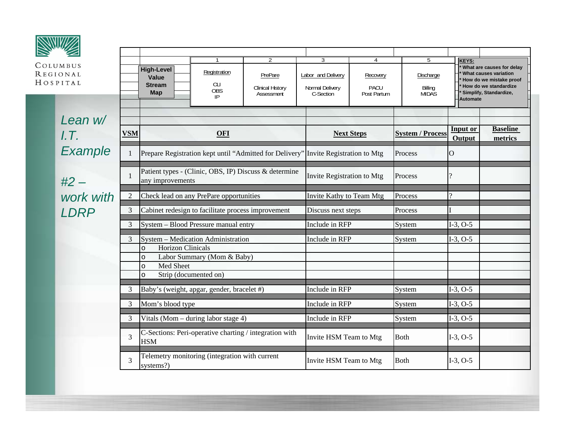| COLUMBUS<br><b>REGIONAL</b><br>HOSPITAL                                                                                                         |                                                                           | <b>High-Level</b><br>Value<br><b>Stream</b><br><b>Map</b> | $\mathbf{1}$<br>Registration<br>аı<br><b>OBS</b><br>IP. | $\overline{2}$<br>PrePare<br><b>Clinical History</b><br>Assessment | 3<br>Labor and Delivery<br>Normal Delivery<br>C-Section | $\overline{4}$<br>Recovery<br><b>PACU</b><br>Post Partum                                      | 5<br>Discharge<br>Billing<br><b>MIDAS</b> | KEYS:              | What are causes for delay<br>What causes variation<br>How do we mistake proof<br>How do we standardize<br>Simplify, Standardize, |
|-------------------------------------------------------------------------------------------------------------------------------------------------|---------------------------------------------------------------------------|-----------------------------------------------------------|---------------------------------------------------------|--------------------------------------------------------------------|---------------------------------------------------------|-----------------------------------------------------------------------------------------------|-------------------------------------------|--------------------|----------------------------------------------------------------------------------------------------------------------------------|
|                                                                                                                                                 |                                                                           |                                                           |                                                         |                                                                    |                                                         |                                                                                               |                                           | <b>Automate</b>    |                                                                                                                                  |
| Lean w/<br>LT.                                                                                                                                  | <b>VSM</b>                                                                |                                                           | <b>OFI</b>                                              |                                                                    |                                                         | <b>Next Steps</b>                                                                             | <b>System / Process</b>                   | Input or<br>Output | <b>Baseline</b><br>metrics                                                                                                       |
| Example                                                                                                                                         |                                                                           |                                                           |                                                         |                                                                    |                                                         | Prepare Registration kept until "Admitted for Delivery" Invite Registration to Mtg<br>Process |                                           |                    |                                                                                                                                  |
| $#2 -$                                                                                                                                          |                                                                           | any improvements                                          |                                                         | Patient types - (Clinic, OBS, IP) Discuss & determine              | Invite Registration to Mtg                              |                                                                                               | Process                                   | ?                  |                                                                                                                                  |
| work with                                                                                                                                       | Check lead on any PrePare opportunities<br>$\overline{2}$                 |                                                           |                                                         |                                                                    |                                                         | Invite Kathy to Team Mtg                                                                      | Process                                   |                    |                                                                                                                                  |
| <b>LDRP</b>                                                                                                                                     | 3                                                                         |                                                           | Cabinet redesign to facilitate process improvement      |                                                                    | Discuss next steps                                      |                                                                                               | Process                                   |                    |                                                                                                                                  |
|                                                                                                                                                 | 3                                                                         |                                                           | System - Blood Pressure manual entry                    |                                                                    | Include in RFP                                          |                                                                                               | System                                    | $I-3, O-5$         |                                                                                                                                  |
| System - Medication Administration<br>3<br><b>Horizon Clinicals</b><br>$\circ$<br>Labor Summary (Mom & Baby)<br>$\circ$<br>Med Sheet<br>$\circ$ |                                                                           |                                                           |                                                         |                                                                    | Include in RFP                                          |                                                                                               | System                                    | $I-3, O-5$         |                                                                                                                                  |
|                                                                                                                                                 | 3                                                                         | $\circ$                                                   | Strip (documented on)                                   |                                                                    | Include in RFP                                          |                                                                                               | System                                    | $I-3, O-5$         |                                                                                                                                  |
|                                                                                                                                                 | Baby's (weight, apgar, gender, bracelet #)<br>3<br>Mom's blood type       |                                                           |                                                         |                                                                    | Include in RFP                                          |                                                                                               | System                                    | $I-3, O-5$         |                                                                                                                                  |
|                                                                                                                                                 | 3<br>Vitals (Mom – during labor stage 4)                                  |                                                           |                                                         |                                                                    | Include in RFP                                          |                                                                                               | System                                    | $I-3, O-5$         |                                                                                                                                  |
|                                                                                                                                                 | C-Sections: Peri-operative charting / integration with<br>3<br><b>HSM</b> |                                                           |                                                         |                                                                    | Invite HSM Team to Mtg                                  |                                                                                               | <b>Both</b>                               | $I-3, O-5$         |                                                                                                                                  |
|                                                                                                                                                 | 3                                                                         | systems?)                                                 | Telemetry monitoring (integration with current          |                                                                    | Invite HSM Team to Mtg                                  |                                                                                               | <b>Both</b>                               | $I-3, O-5$         |                                                                                                                                  |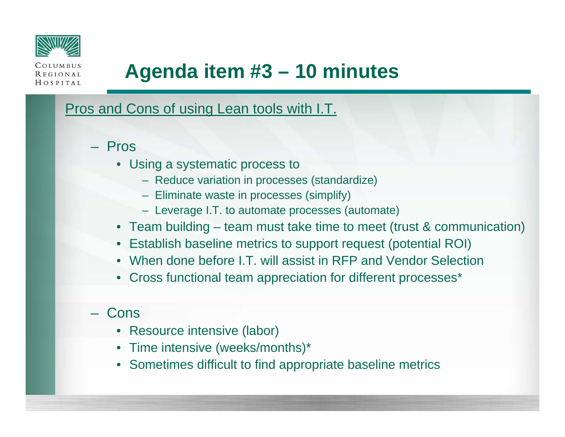

REGIONAL  $H$   $O$   $S$   $P$   $I$   $T$   $A$   $L$ 

# **Agenda item #3 – 10 minutes**

Pros and Cons of using Lean tools with I.T.

- Pros
	- Using a systematic process to
		- Reduce variation in processes (standardize)
		- Eliminate waste in processes (simplify)
		- Leverage I.T. to automate processes (automate)
	- Team building team must take time to meet (trust & communication)
	- Establish baseline metrics to support request (potential ROI)
	- When done before I.T. will assist in RFP and Vendor Selection
	- Cross functional team appreciation for different processes\*
- Cons
	- Resource intensive (labor)
	- Time intensive (weeks/months)\*
	- Sometimes difficult to find appropriate baseline metrics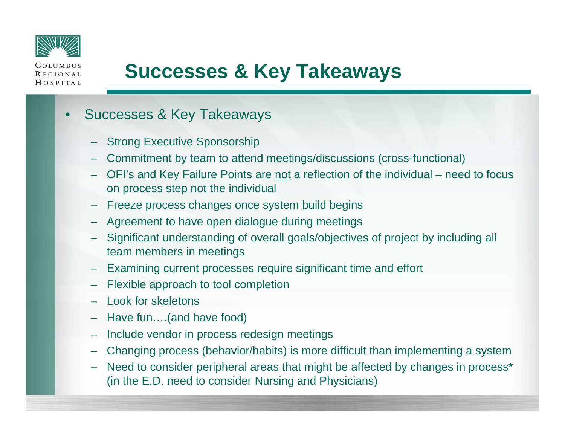

**REGIONAL** HOSPITAL

# **Successes & Key Takeaways**

#### • Successes & Key Takeaways

- **Strong Executive Sponsorship**
- Commitment by team to attend meetings/discussions (cross-functional)
- OFI's and Key Failure Points are not a reflection of the individual need to focus on process step not the individual
- Freeze process changes once system build begins
- Agreement to have open dialogue during meetings
- Significant understanding of overall goals/objectives of project by including all team members in meetings
- Examining current processes require significant time and effort
- Flexible approach to tool completion
- Look for skeletons
- Have fun….(and have food)
- Include vendor in process redesign meetings
- Changing process (behavior/habits) is more difficult than implementing a system
- Need to consider peripheral areas that might be affected by changes in process\* (in the E.D. need to consider Nursing and Physicians)